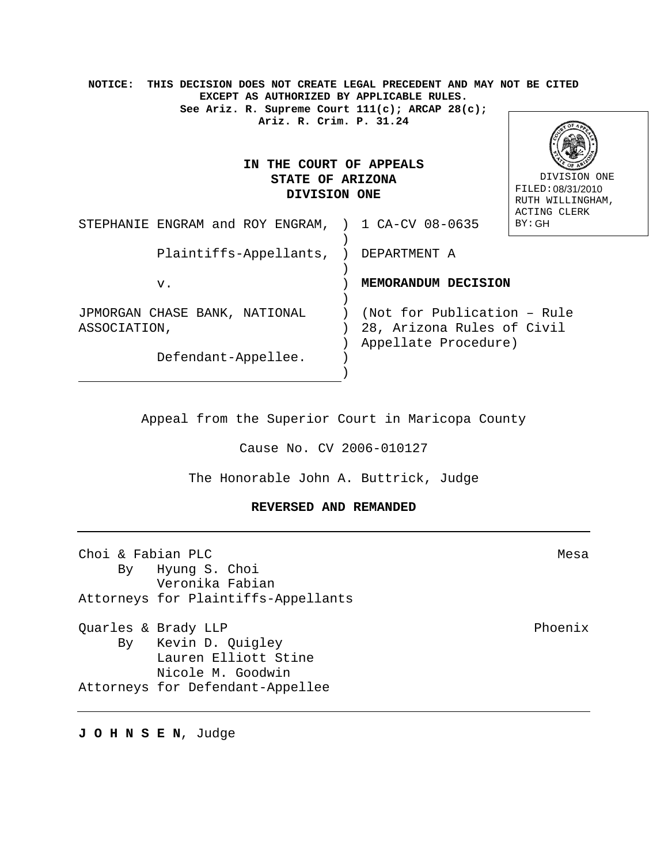| THIS DECISION DOES NOT CREATE LEGAL PRECEDENT AND MAY NOT BE CITED<br>NOTICE:<br>EXCEPT AS AUTHORIZED BY APPLICABLE RULES.<br>See Ariz. R. Supreme Court $111(c)$ ; ARCAP 28(c); |                             |                                       |  |  |
|----------------------------------------------------------------------------------------------------------------------------------------------------------------------------------|-----------------------------|---------------------------------------|--|--|
| Ariz. R. Crim. P. 31.24                                                                                                                                                          |                             |                                       |  |  |
| IN THE COURT OF APPEALS                                                                                                                                                          |                             |                                       |  |  |
| <b>STATE OF ARIZONA</b>                                                                                                                                                          |                             | DIVISION ONE                          |  |  |
| DIVISION ONE                                                                                                                                                                     |                             | FILED: 08/31/2010<br>RUTH WILLINGHAM, |  |  |
| STEPHANIE ENGRAM and ROY ENGRAM, ) 1 CA-CV 08-0635                                                                                                                               |                             | ACTING CLERK<br>BY:GH                 |  |  |
|                                                                                                                                                                                  |                             |                                       |  |  |
| Plaintiffs-Appellants, ) DEPARTMENT A                                                                                                                                            |                             |                                       |  |  |
| v.                                                                                                                                                                               | MEMORANDUM DECISION         |                                       |  |  |
|                                                                                                                                                                                  |                             |                                       |  |  |
| JPMORGAN CHASE BANK, NATIONAL                                                                                                                                                    | (Not for Publication - Rule |                                       |  |  |
| ASSOCIATION,                                                                                                                                                                     | 28, Arizona Rules of Civil  |                                       |  |  |
|                                                                                                                                                                                  | Appellate Procedure)        |                                       |  |  |
| Defendant-Appellee.                                                                                                                                                              |                             |                                       |  |  |
|                                                                                                                                                                                  |                             |                                       |  |  |

Appeal from the Superior Court in Maricopa County

Cause No. CV 2006-010127

The Honorable John A. Buttrick, Judge

# **REVERSED AND REMANDED**

| Choi & Fabian PLC |                                     | Mesa    |
|-------------------|-------------------------------------|---------|
|                   | By Hyung S. Choi<br>Veronika Fabian |         |
|                   | Attorneys for Plaintiffs-Appellants |         |
|                   | Quarles & Brady LLP                 | Phoenix |
|                   | By Kevin D. Quigley                 |         |
|                   | Lauren Elliott Stine                |         |
|                   | Nicole M. Goodwin                   |         |
|                   | Attorneys for Defendant-Appellee    |         |

**J O H N S E N**, Judge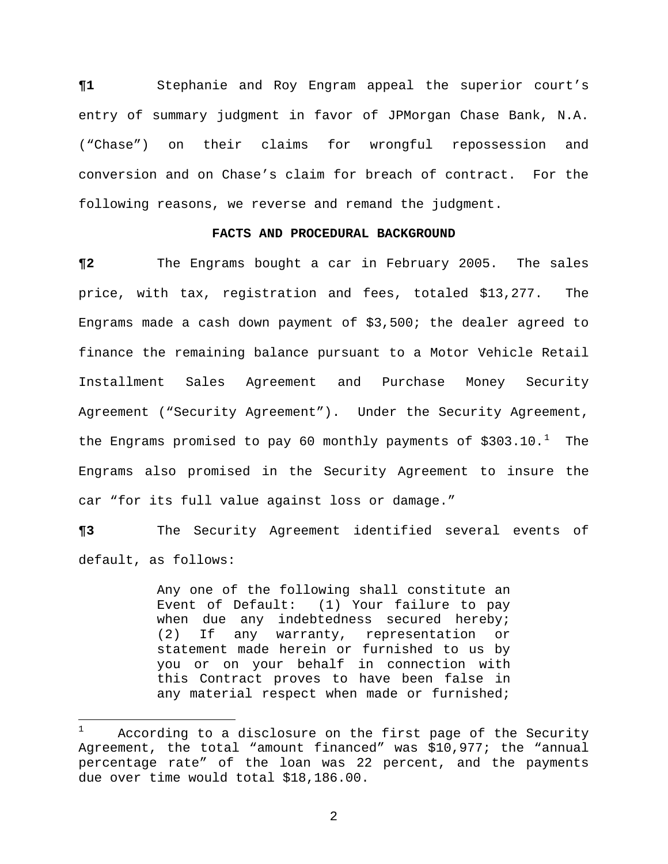**¶1** Stephanie and Roy Engram appeal the superior court's entry of summary judgment in favor of JPMorgan Chase Bank, N.A. ("Chase") on their claims for wrongful repossession and conversion and on Chase's claim for breach of contract. For the following reasons, we reverse and remand the judgment.

## **FACTS AND PROCEDURAL BACKGROUND**

**¶2** The Engrams bought a car in February 2005. The sales price, with tax, registration and fees, totaled \$13,277. The Engrams made a cash down payment of \$3,500; the dealer agreed to finance the remaining balance pursuant to a Motor Vehicle Retail Installment Sales Agreement and Purchase Money Security Agreement ("Security Agreement"). Under the Security Agreement, the Engrams promised to pay 60 monthly payments of  $$303.10.^1$  $$303.10.^1$  $$303.10.^1$  The Engrams also promised in the Security Agreement to insure the car "for its full value against loss or damage."

**¶3** The Security Agreement identified several events of default, as follows:

> Any one of the following shall constitute an Event of Default: (1) Your failure to pay when due any indebtedness secured hereby; (2) If any warranty, representation or statement made herein or furnished to us by you or on your behalf in connection with this Contract proves to have been false in any material respect when made or furnished;

 $\overline{a}$ 

<span id="page-1-0"></span>According to a disclosure on the first page of the Security Agreement, the total "amount financed" was \$10,977; the "annual percentage rate" of the loan was 22 percent, and the payments due over time would total \$18,186.00.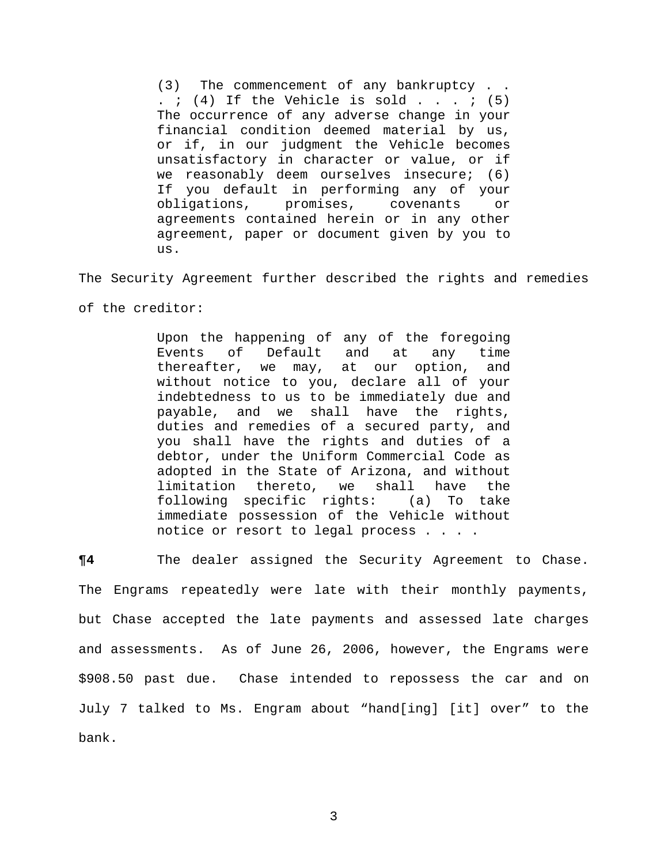(3) The commencement of any bankruptcy . . .  $i$  (4) If the Vehicle is sold . . .  $i$  (5) The occurrence of any adverse change in your financial condition deemed material by us, or if, in our judgment the Vehicle becomes unsatisfactory in character or value, or if we reasonably deem ourselves insecure; (6) If you default in performing any of your obligations, promises, covenants or agreements contained herein or in any other agreement, paper or document given by you to us.

The Security Agreement further described the rights and remedies

of the creditor:

Upon the happening of any of the foregoing Events of Default and at any time thereafter, we may, at our option, and without notice to you, declare all of your indebtedness to us to be immediately due and payable, and we shall have the rights, duties and remedies of a secured party, and you shall have the rights and duties of a debtor, under the Uniform Commercial Code as adopted in the State of Arizona, and without<br>limitation thereto, we shall have the limitation thereto, we shall have the<br>following specific rights: (a) To take following specific rights: immediate possession of the Vehicle without notice or resort to legal process . . . .

**¶4** The dealer assigned the Security Agreement to Chase. The Engrams repeatedly were late with their monthly payments, but Chase accepted the late payments and assessed late charges and assessments. As of June 26, 2006, however, the Engrams were \$908.50 past due. Chase intended to repossess the car and on July 7 talked to Ms. Engram about "hand[ing] [it] over" to the bank.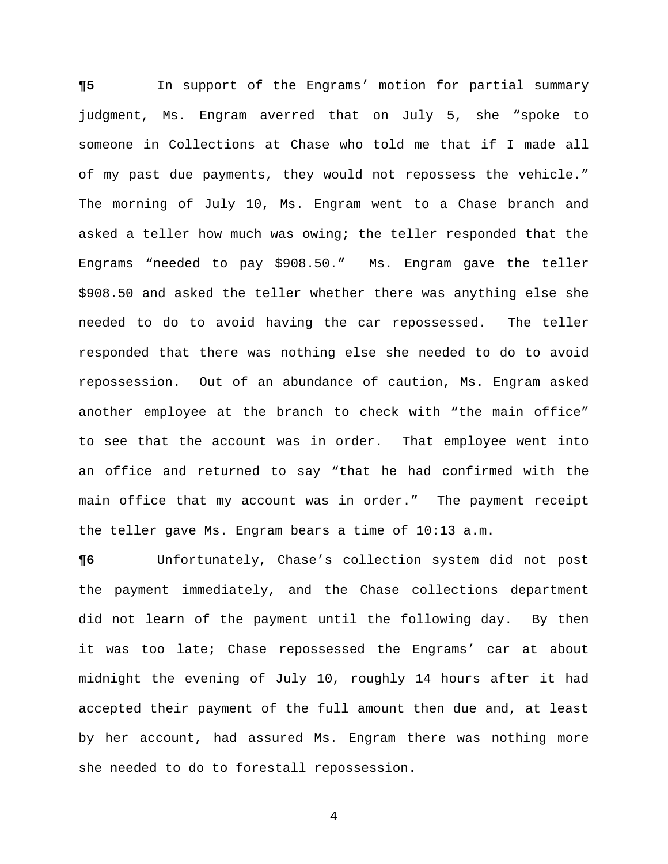**¶5** In support of the Engrams' motion for partial summary judgment, Ms. Engram averred that on July 5, she "spoke to someone in Collections at Chase who told me that if I made all of my past due payments, they would not repossess the vehicle." The morning of July 10, Ms. Engram went to a Chase branch and asked a teller how much was owing; the teller responded that the Engrams "needed to pay \$908.50." Ms. Engram gave the teller \$908.50 and asked the teller whether there was anything else she needed to do to avoid having the car repossessed. The teller responded that there was nothing else she needed to do to avoid repossession. Out of an abundance of caution, Ms. Engram asked another employee at the branch to check with "the main office" to see that the account was in order. That employee went into an office and returned to say "that he had confirmed with the main office that my account was in order." The payment receipt the teller gave Ms. Engram bears a time of 10:13 a.m.

**¶6** Unfortunately, Chase's collection system did not post the payment immediately, and the Chase collections department did not learn of the payment until the following day. By then it was too late; Chase repossessed the Engrams' car at about midnight the evening of July 10, roughly 14 hours after it had accepted their payment of the full amount then due and, at least by her account, had assured Ms. Engram there was nothing more she needed to do to forestall repossession.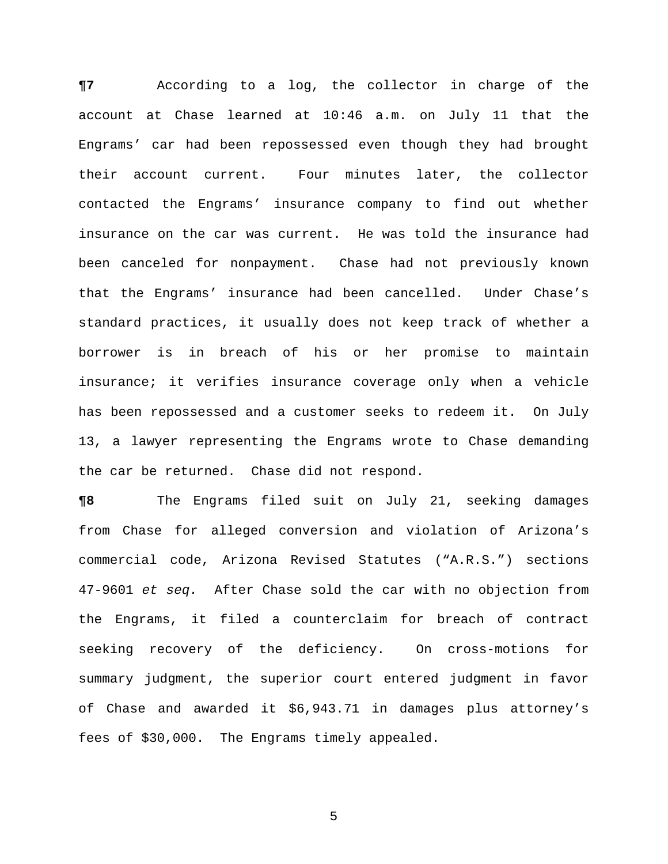**¶7** According to a log, the collector in charge of the account at Chase learned at 10:46 a.m. on July 11 that the Engrams' car had been repossessed even though they had brought their account current. Four minutes later, the collector contacted the Engrams' insurance company to find out whether insurance on the car was current. He was told the insurance had been canceled for nonpayment. Chase had not previously known that the Engrams' insurance had been cancelled. Under Chase's standard practices, it usually does not keep track of whether a borrower is in breach of his or her promise to maintain insurance; it verifies insurance coverage only when a vehicle has been repossessed and a customer seeks to redeem it. On July 13, a lawyer representing the Engrams wrote to Chase demanding the car be returned. Chase did not respond.

**¶8** The Engrams filed suit on July 21, seeking damages from Chase for alleged conversion and violation of Arizona's commercial code, Arizona Revised Statutes ("A.R.S.") sections 47-9601 *et seq.* After Chase sold the car with no objection from the Engrams, it filed a counterclaim for breach of contract seeking recovery of the deficiency. On cross-motions for summary judgment, the superior court entered judgment in favor of Chase and awarded it \$6,943.71 in damages plus attorney's fees of \$30,000. The Engrams timely appealed.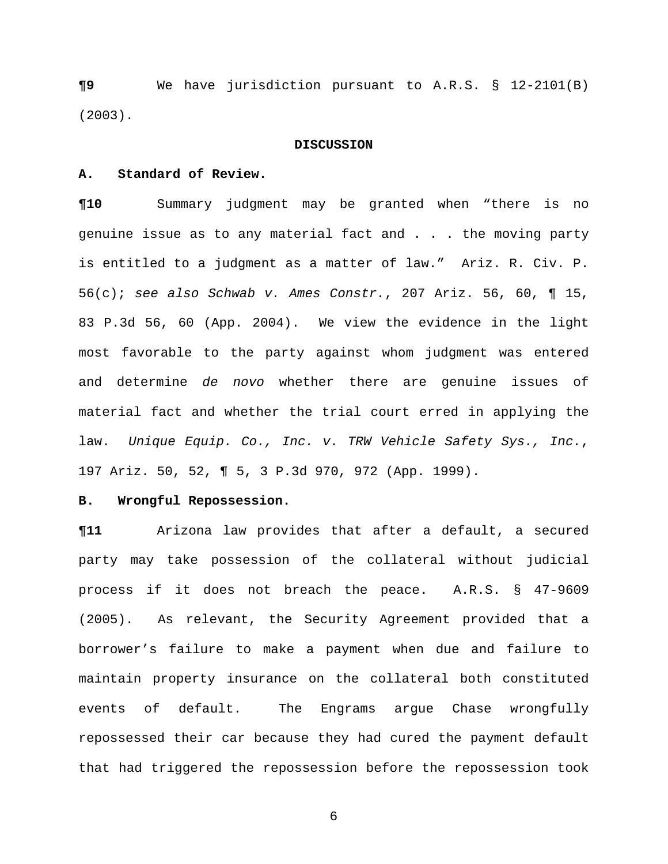**¶9** We have jurisdiction pursuant to A.R.S. § 12-2101(B) (2003).

#### **DISCUSSION**

## **A. Standard of Review.**

**¶10** Summary judgment may be granted when "there is no genuine issue as to any material fact and . . . the moving party is entitled to a judgment as a matter of law." Ariz. R. Civ. P. 56(c); *see also Schwab v. Ames Constr.*, 207 Ariz. 56, 60, ¶ 15, 83 P.3d 56, 60 (App. 2004). We view the evidence in the light most favorable to the party against whom judgment was entered and determine *de novo* whether there are genuine issues of material fact and whether the trial court erred in applying the law. *Unique Equip. Co., Inc. v. TRW Vehicle Safety Sys., Inc.*, 197 Ariz. 50, 52, ¶ 5, 3 P.3d 970, 972 (App. 1999).

### **B. Wrongful Repossession.**

**¶11** Arizona law provides that after a default, a secured party may take possession of the collateral without judicial process if it does not breach the peace. A.R.S. § 47-9609 (2005). As relevant, the Security Agreement provided that a borrower's failure to make a payment when due and failure to maintain property insurance on the collateral both constituted events of default. The Engrams argue Chase wrongfully repossessed their car because they had cured the payment default that had triggered the repossession before the repossession took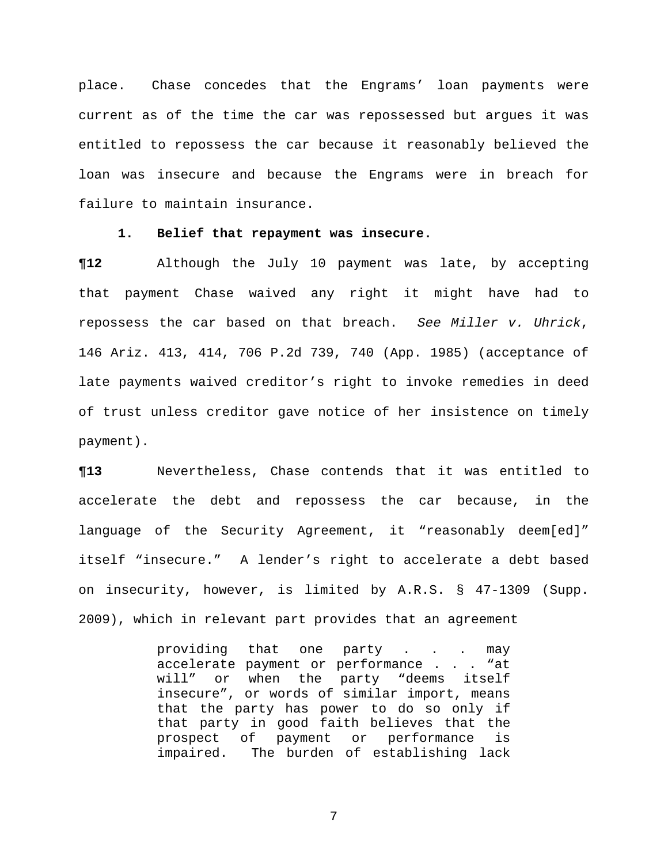place. Chase concedes that the Engrams' loan payments were current as of the time the car was repossessed but argues it was entitled to repossess the car because it reasonably believed the loan was insecure and because the Engrams were in breach for failure to maintain insurance.

## **1. Belief that repayment was insecure.**

**¶12** Although the July 10 payment was late, by accepting that payment Chase waived any right it might have had to repossess the car based on that breach. *See Miller v. Uhrick*, 146 Ariz. 413, 414, 706 P.2d 739, 740 (App. 1985) (acceptance of late payments waived creditor's right to invoke remedies in deed of trust unless creditor gave notice of her insistence on timely payment).

**¶13** Nevertheless, Chase contends that it was entitled to accelerate the debt and repossess the car because, in the language of the Security Agreement, it "reasonably deem[ed]" itself "insecure." A lender's right to accelerate a debt based on insecurity, however, is limited by A.R.S. § 47-1309 (Supp. 2009), which in relevant part provides that an agreement

> providing that one party . . . may accelerate payment or performance . . . "at<br>will" or when the party "deems itself or when the party "deems itself insecure", or words of similar import, means that the party has power to do so only if that party in good faith believes that the<br>prospect of payment or performance is payment or performance is impaired. The burden of establishing lack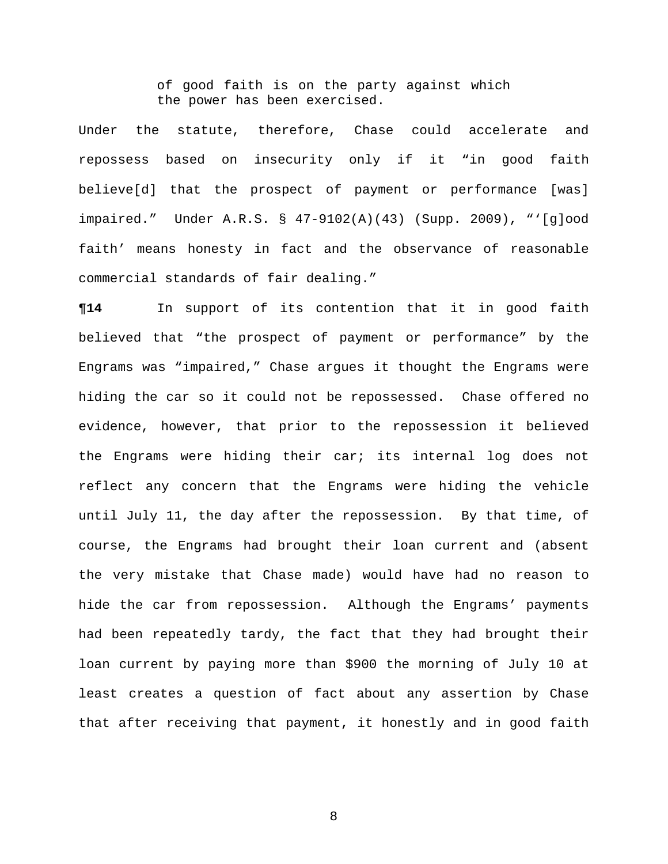of good faith is on the party against which the power has been exercised.

Under the statute, therefore, Chase could accelerate and repossess based on insecurity only if it "in good faith believe[d] that the prospect of payment or performance [was] impaired." Under A.R.S. § 47-9102(A)(43) (Supp. 2009), "'[g]ood faith' means honesty in fact and the observance of reasonable commercial standards of fair dealing."

**¶14** In support of its contention that it in good faith believed that "the prospect of payment or performance" by the Engrams was "impaired," Chase argues it thought the Engrams were hiding the car so it could not be repossessed. Chase offered no evidence, however, that prior to the repossession it believed the Engrams were hiding their car; its internal log does not reflect any concern that the Engrams were hiding the vehicle until July 11, the day after the repossession. By that time, of course, the Engrams had brought their loan current and (absent the very mistake that Chase made) would have had no reason to hide the car from repossession. Although the Engrams' payments had been repeatedly tardy, the fact that they had brought their loan current by paying more than \$900 the morning of July 10 at least creates a question of fact about any assertion by Chase that after receiving that payment, it honestly and in good faith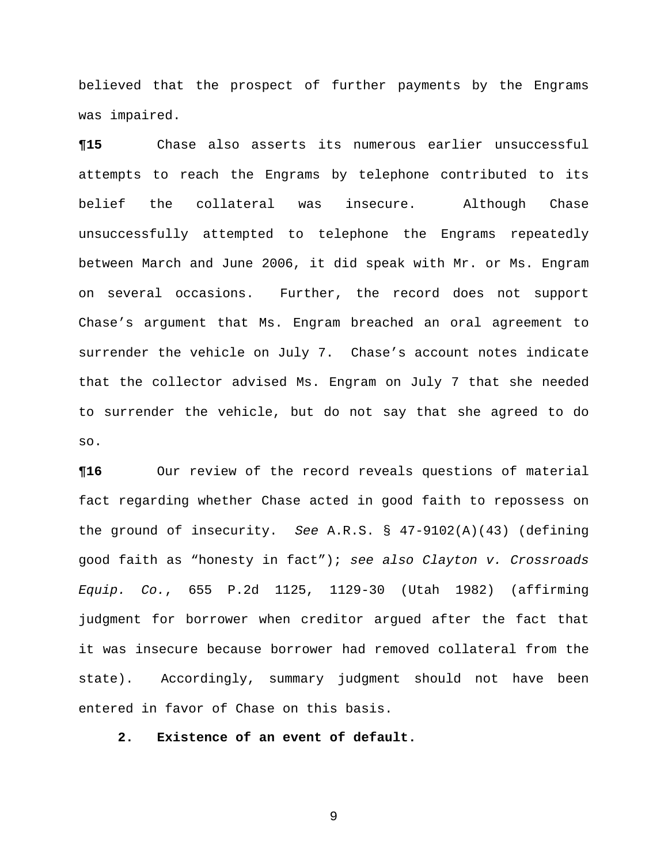believed that the prospect of further payments by the Engrams was impaired.

**¶15** Chase also asserts its numerous earlier unsuccessful attempts to reach the Engrams by telephone contributed to its belief the collateral was insecure. Although Chase unsuccessfully attempted to telephone the Engrams repeatedly between March and June 2006, it did speak with Mr. or Ms. Engram on several occasions. Further, the record does not support Chase's argument that Ms. Engram breached an oral agreement to surrender the vehicle on July 7. Chase's account notes indicate that the collector advised Ms. Engram on July 7 that she needed to surrender the vehicle, but do not say that she agreed to do so.

**¶16** Our review of the record reveals questions of material fact regarding whether Chase acted in good faith to repossess on the ground of insecurity. *See* A.R.S. § 47-9102(A)(43) (defining good faith as "honesty in fact"); *see also Clayton v. Crossroads Equip. Co.*, 655 P.2d 1125, 1129-30 (Utah 1982) (affirming judgment for borrower when creditor argued after the fact that it was insecure because borrower had removed collateral from the state). Accordingly, summary judgment should not have been entered in favor of Chase on this basis.

**2. Existence of an event of default.**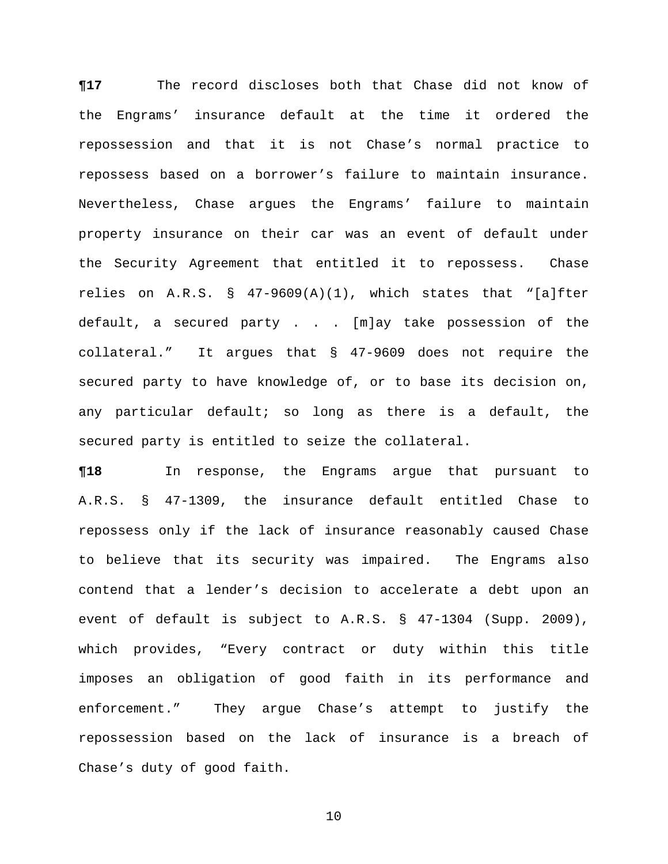**¶17** The record discloses both that Chase did not know of the Engrams' insurance default at the time it ordered the repossession and that it is not Chase's normal practice to repossess based on a borrower's failure to maintain insurance. Nevertheless, Chase argues the Engrams' failure to maintain property insurance on their car was an event of default under the Security Agreement that entitled it to repossess. Chase relies on A.R.S. § 47-9609(A)(1), which states that "[a]fter default, a secured party . . . [m]ay take possession of the collateral." It argues that § 47-9609 does not require the secured party to have knowledge of, or to base its decision on, any particular default; so long as there is a default, the secured party is entitled to seize the collateral.

**¶18** In response, the Engrams argue that pursuant to A.R.S. § 47-1309, the insurance default entitled Chase to repossess only if the lack of insurance reasonably caused Chase to believe that its security was impaired. The Engrams also contend that a lender's decision to accelerate a debt upon an event of default is subject to A.R.S. § 47-1304 (Supp. 2009), which provides, "Every contract or duty within this title imposes an obligation of good faith in its performance and enforcement." They argue Chase's attempt to justify the repossession based on the lack of insurance is a breach of Chase's duty of good faith.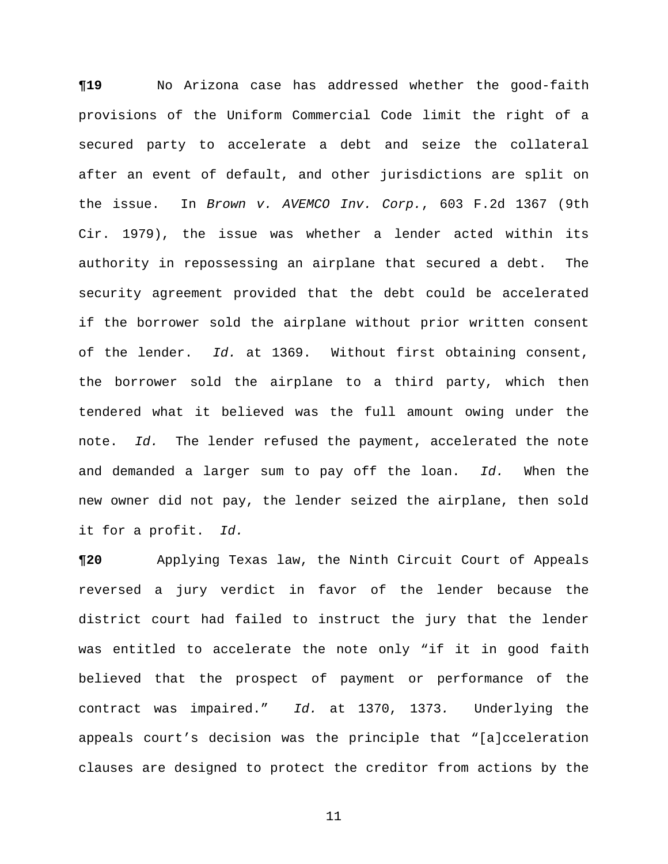**¶19** No Arizona case has addressed whether the good-faith provisions of the Uniform Commercial Code limit the right of a secured party to accelerate a debt and seize the collateral after an event of default, and other jurisdictions are split on the issue. In *Brown v. AVEMCO Inv. Corp.*, 603 F.2d 1367 (9th Cir. 1979), the issue was whether a lender acted within its authority in repossessing an airplane that secured a debt. The security agreement provided that the debt could be accelerated if the borrower sold the airplane without prior written consent of the lender. *Id.* at 1369. Without first obtaining consent, the borrower sold the airplane to a third party, which then tendered what it believed was the full amount owing under the note. *Id.* The lender refused the payment, accelerated the note and demanded a larger sum to pay off the loan. *Id.* When the new owner did not pay, the lender seized the airplane, then sold it for a profit. *Id.*

**¶20** Applying Texas law, the Ninth Circuit Court of Appeals reversed a jury verdict in favor of the lender because the district court had failed to instruct the jury that the lender was entitled to accelerate the note only "if it in good faith believed that the prospect of payment or performance of the contract was impaired." *Id.* at 1370, 1373*.* Underlying the appeals court's decision was the principle that "[a]cceleration clauses are designed to protect the creditor from actions by the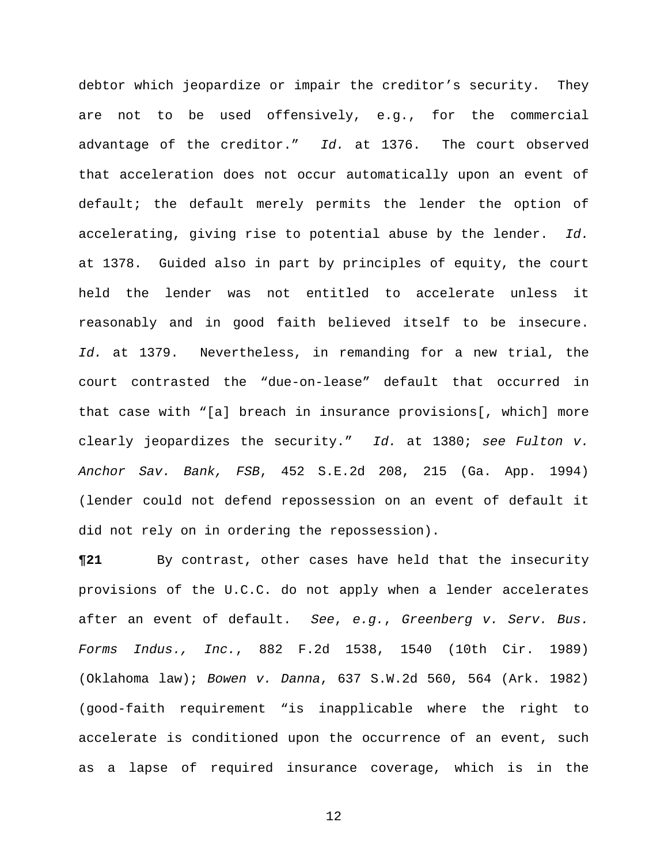debtor which jeopardize or impair the creditor's security. They are not to be used offensively, e.g., for the commercial advantage of the creditor." *Id.* at 1376. The court observed that acceleration does not occur automatically upon an event of default; the default merely permits the lender the option of accelerating, giving rise to potential abuse by the lender. *Id.*  at 1378. Guided also in part by principles of equity, the court held the lender was not entitled to accelerate unless it reasonably and in good faith believed itself to be insecure. *Id.* at 1379. Nevertheless, in remanding for a new trial, the court contrasted the "due-on-lease" default that occurred in that case with "[a] breach in insurance provisions[, which] more clearly jeopardizes the security." *Id.* at 1380; *see Fulton v. Anchor Sav. Bank, FSB*, 452 S.E.2d 208, 215 (Ga. App. 1994) (lender could not defend repossession on an event of default it did not rely on in ordering the repossession).

**¶21** By contrast, other cases have held that the insecurity provisions of the U.C.C. do not apply when a lender accelerates after an event of default. *See*, *e.g.*, *Greenberg v. Serv. Bus. Forms Indus., Inc.*, 882 F.2d 1538, 1540 (10th Cir. 1989) (Oklahoma law); *Bowen v. Danna*, 637 S.W.2d 560, 564 (Ark. 1982) (good-faith requirement "is inapplicable where the right to accelerate is conditioned upon the occurrence of an event, such as a lapse of required insurance coverage, which is in the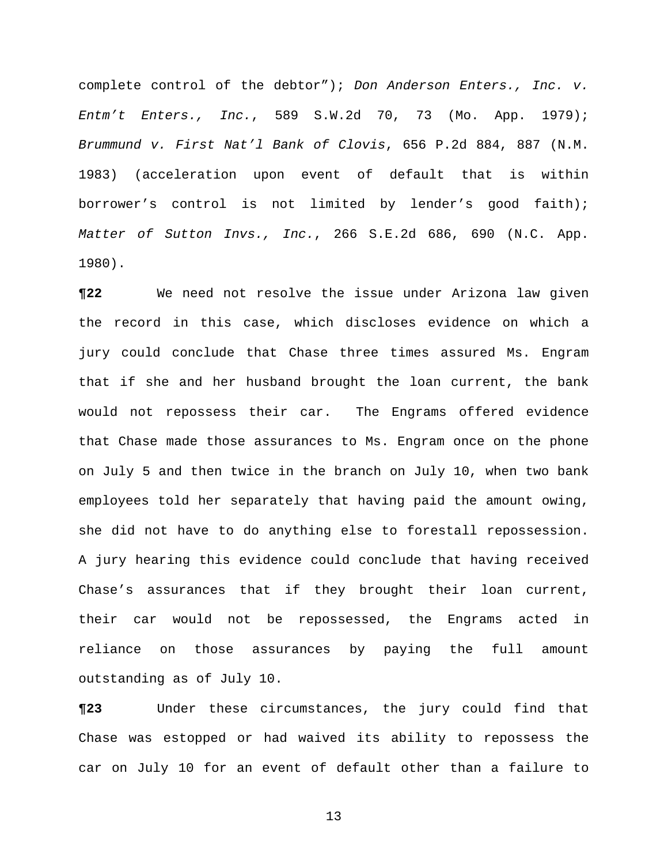complete control of the debtor"); *Don Anderson Enters., Inc. v. Entm't Enters., Inc.*, 589 S.W.2d 70, 73 (Mo. App. 1979); *Brummund v. First Nat'l Bank of Clovis*, 656 P.2d 884, 887 (N.M. 1983) (acceleration upon event of default that is within borrower's control is not limited by lender's good faith); *Matter of Sutton Invs., Inc.*, 266 S.E.2d 686, 690 (N.C. App. 1980).

**¶22** We need not resolve the issue under Arizona law given the record in this case, which discloses evidence on which a jury could conclude that Chase three times assured Ms. Engram that if she and her husband brought the loan current, the bank would not repossess their car. The Engrams offered evidence that Chase made those assurances to Ms. Engram once on the phone on July 5 and then twice in the branch on July 10, when two bank employees told her separately that having paid the amount owing, she did not have to do anything else to forestall repossession. A jury hearing this evidence could conclude that having received Chase's assurances that if they brought their loan current, their car would not be repossessed, the Engrams acted in reliance on those assurances by paying the full amount outstanding as of July 10.

**¶23** Under these circumstances, the jury could find that Chase was estopped or had waived its ability to repossess the car on July 10 for an event of default other than a failure to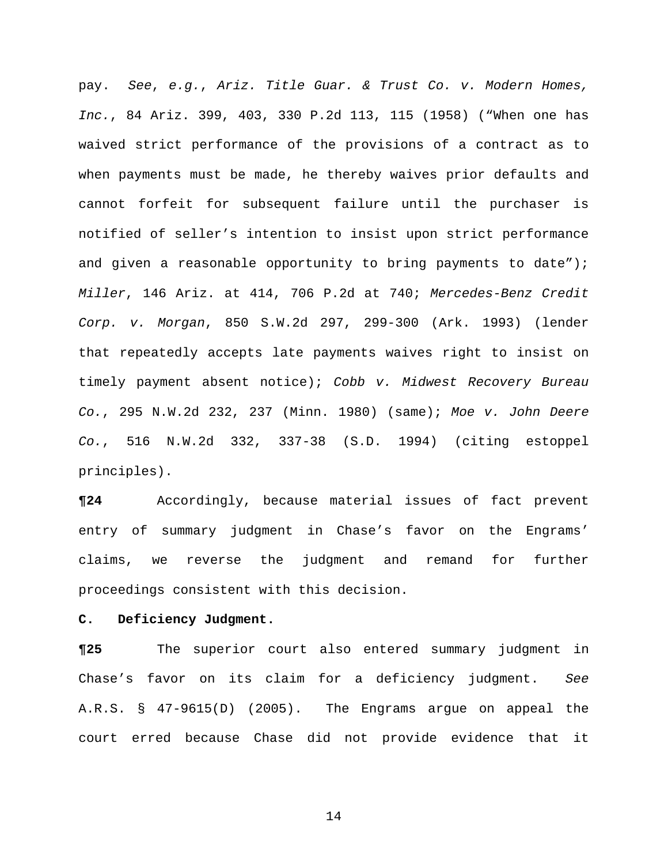pay. *See*, *e.g.*, *Ariz. Title Guar. & Trust Co. v. Modern Homes, Inc.*, 84 Ariz. 399, 403, 330 P.2d 113, 115 (1958) ("When one has waived strict performance of the provisions of a contract as to when payments must be made, he thereby waives prior defaults and cannot forfeit for subsequent failure until the purchaser is notified of seller's intention to insist upon strict performance and given a reasonable opportunity to bring payments to date"); *Miller*, 146 Ariz. at 414, 706 P.2d at 740; *Mercedes-Benz Credit Corp. v. Morgan*, 850 S.W.2d 297, 299-300 (Ark. 1993) (lender that repeatedly accepts late payments waives right to insist on timely payment absent notice); *Cobb v. Midwest Recovery Bureau Co.*, 295 N.W.2d 232, 237 (Minn. 1980) (same); *Moe v. John Deere Co.*, 516 N.W.2d 332, 337-38 (S.D. 1994) (citing estoppel principles).

**¶24** Accordingly, because material issues of fact prevent entry of summary judgment in Chase's favor on the Engrams' claims, we reverse the judgment and remand for further proceedings consistent with this decision.

#### **C. Deficiency Judgment.**

**¶25** The superior court also entered summary judgment in Chase's favor on its claim for a deficiency judgment. *See*  A.R.S. § 47-9615(D) (2005). The Engrams argue on appeal the court erred because Chase did not provide evidence that it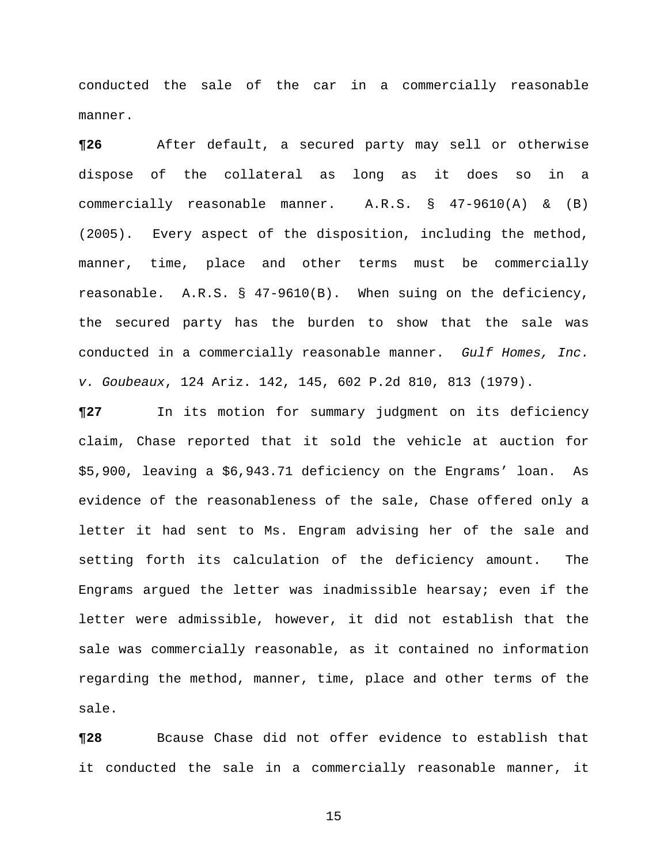conducted the sale of the car in a commercially reasonable manner.

**¶26** After default, a secured party may sell or otherwise dispose of the collateral as long as it does so in a commercially reasonable manner. A.R.S. § 47-9610(A) & (B) (2005). Every aspect of the disposition, including the method, manner, time, place and other terms must be commercially reasonable. A.R.S. § 47-9610(B). When suing on the deficiency, the secured party has the burden to show that the sale was conducted in a commercially reasonable manner. *Gulf Homes, Inc. v. Goubeaux*, 124 Ariz. 142, 145, 602 P.2d 810, 813 (1979).

**¶27** In its motion for summary judgment on its deficiency claim, Chase reported that it sold the vehicle at auction for \$5,900, leaving a \$6,943.71 deficiency on the Engrams' loan. As evidence of the reasonableness of the sale, Chase offered only a letter it had sent to Ms. Engram advising her of the sale and setting forth its calculation of the deficiency amount. The Engrams argued the letter was inadmissible hearsay; even if the letter were admissible, however, it did not establish that the sale was commercially reasonable, as it contained no information regarding the method, manner, time, place and other terms of the sale.

**¶28** Bcause Chase did not offer evidence to establish that it conducted the sale in a commercially reasonable manner, it